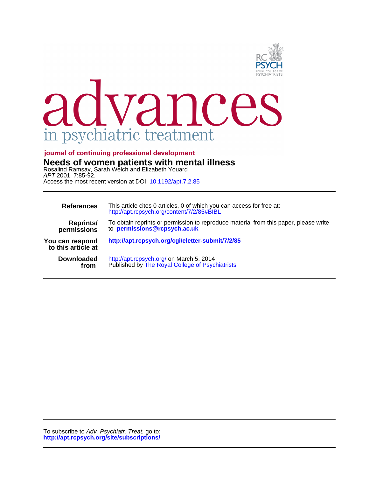

# advances

# journal of continuing professional development **Needs of women patients with mental illness**

Access the most recent version at DOI: [10.1192/apt.7.2.85](http://apt.rcpsych.org/) APT 2001, 7:85-92. Rosalind Ramsay, Sarah Welch and Elizabeth Youard

| <b>References</b>                     | This article cites 0 articles, 0 of which you can access for free at:<br>http://apt.rcpsych.org/content/7/2/85#BIBL  |  |
|---------------------------------------|----------------------------------------------------------------------------------------------------------------------|--|
| <b>Reprints/</b><br>permissions       | To obtain reprints or permission to reproduce material from this paper, please write<br>to permissions@rcpsych.ac.uk |  |
| You can respond<br>to this article at | http://apt.rcpsych.org/cgi/eletter-submit/7/2/85                                                                     |  |
| <b>Downloaded</b><br>from             | http://apt.rcpsych.org/ on March 5, 2014<br>Published by The Royal College of Psychiatrists                          |  |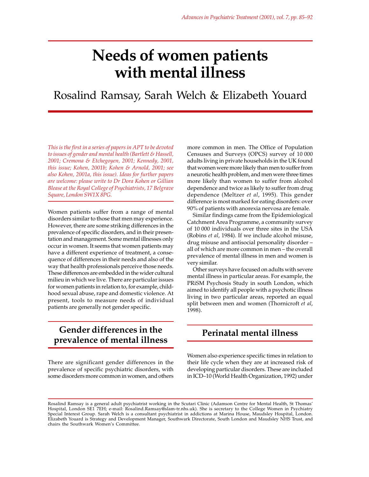# **Needs of women patients with mental illness**

Rosalind Ramsay, Sarah Welch & Elizabeth Youard

*This is the first in a series of papers in APT to be devoted to issues of gender and mental health (Bartlett & Hassell, 2001; Cremona & Etchegoyen, 2001; Kennedy, 2001, this issue; Kohen, 2001b; Kohen & Arnold, 2001; see also Kohen, 2001a, this issue). Ideas for further papers are welcome: please write to Dr Dora Kohen or Gillian Blease at the Royal College of Psychiatrists, 17 Belgrave Square, London SW1X 8PG.*

Women patients suffer from a range of mental disorders similar to those that men may experience. However, there are some striking differences in the prevalence of specific disorders, and in their presentation and management. Some mental illnesses only occur in women. It seems that women patients may have a different experience of treatment, a consequence of differences in their needs and also of the way that health professionals perceive those needs. These differences are embedded in the wider cultural milieu in which we live. There are particular issues for women patients in relation to, for example, childhood sexual abuse, rape and domestic violence. At present, tools to measure needs of individual patients are generally not gender specific.

# **Gender differences in the prevalence of mental illness**

There are significant gender differences in the prevalence of specific psychiatric disorders, with some disorders more common in women, and others more common in men. The Office of Population Censuses and Surveys (OPCS) survey of 10 000 adults living in private households in the UK found that women were more likely than men to suffer from a neurotic health problem, and men were three times more likely than women to suffer from alcohol dependence and twice as likely to suffer from drug dependence (Meltzer *et al*, 1995). This gender difference is most marked for eating disorders: over 90% of patients with anorexia nervosa are female.

Similar findings came from the Epidemiological Catchment Area Programme, a community survey of 10 000 individuals over three sites in the USA (Robins *et al*, 1984). If we include alcohol misuse, drug misuse and antisocial personality disorder – all of which are more common in men – the overall prevalence of mental illness in men and women is very similar.

Other surveys have focused on adults with severe mental illness in particular areas. For example, the PRiSM Psychosis Study in south London, which aimed to identify all people with a psychotic illness living in two particular areas, reported an equal split between men and women (Thornicroft *et al*, 1998).

# **Perinatal mental illness**

Women also experience specific times in relation to their life cycle when they are at increased risk of developing particular disorders. These are included in ICD–10 (World Health Organization, 1992) under

Rosalind Ramsay is a general adult psychiatrist working in the Scutari Clinic (Adamson Centre for Mental Health, St Thomas' Hospital, London SE1 7EH; e-mail: Rosalind.Ramsay@slam-tr.nhs.uk). She is secretary to the College Women in Psychiatry Special Interest Group. Sarah Welch is a consultant psychiatrist in addictions at Marina House, Maudsley Hospital, London. Elizabeth Youard is Strategy and Development Manager, Southwark Directorate, South London and Maudsley NHS Trust, and chairs the Southwark Women's Committee.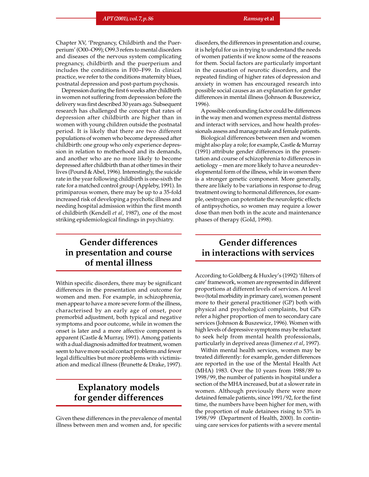Chapter XV, 'Pregnancy, Childbirth and the Puerperium' (O00–O99); O99.3 refers to mental disorders and diseases of the nervous system complicating pregnancy, childbirth and the puerperium and includes the conditions in F00–F99. In clinical practice, we refer to the conditions maternity blues, postnatal depression and post-partum psychosis.

Depression during the first 6 weeks after childbirth in women not suffering from depression before the delivery was first described 30 years ago. Subsequent research has challenged the concept that rates of depression after childbirth are higher than in women with young children outside the postnatal period. It is likely that there are two different populations of women who become depressed after childbirth: one group who only experience depression in relation to motherhood and its demands, and another who are no more likely to become depressed after childbirth than at other times in their lives (Pound & Abel, 1996). Interestingly, the suicide rate in the year following childbirth is one-sixth the rate for a matched control group (Appleby, 1991). In primiparous women, there may be up to a 35-fold increased risk of developing a psychotic illness and needing hospital admission within the first month of childbirth (Kendell *et al*, 1987), one of the most striking epidemiological findings in psychiatry.

# **Gender differences in presentation and course of mental illness**

Within specific disorders, there may be significant differences in the presentation and outcome for women and men. For example, in schizophrenia, men appear to have a more severe form of the illness, characterised by an early age of onset, poor premorbid adjustment, both typical and negative symptoms and poor outcome, while in women the onset is later and a more affective component is apparent (Castle & Murray, 1991). Among patients with a dual diagnosis admitted for treatment, women seem to have more social contact problems and fewer legal difficulties but more problems with victimisation and medical illness (Brunette & Drake, 1997).

# **Explanatory models for gender differences**

Given these differences in the prevalence of mental illness between men and women and, for specific

disorders, the differences in presentation and course, it is helpful for us in trying to understand the needs of women patients if we know some of the reasons for them. Social factors are particularly important in the causation of neurotic disorders, and the repeated finding of higher rates of depression and anxiety in women has encouraged research into possible social causes as an explanation for gender differences in mental illness (Johnson & Buszewicz, 1996).

A possible confounding factor could be differences in the way men and women express mental distress and interact with services, and how health professionals assess and manage male and female patients.

Biological differences between men and women might also play a role; for example, Castle & Murray (1991) attribute gender differences in the presentation and course of schizophrenia to differences in aetiology – men are more likely to have a neurodevelopmental form of the illness, while in women there is a stronger genetic component. More generally, there are likely to be variations in response to drug treatment owing to hormonal differences, for example, oestrogen can potentiate the neuroleptic effects of antipsychotics, so women may require a lower dose than men both in the acute and maintenance phases of therapy (Gold, 1998).

# **Gender differences in interactions with services**

According to Goldberg & Huxley's (1992) 'filters of care' framework, women are represented in different proportions at different levels of services. At level two (total morbidity in primary care), women present more to their general practitioner (GP) both with physical and psychological complaints, but GPs refer a higher proportion of men to secondary care services (Johnson & Buszewicz, 1996). Women with high levels of depressive symptoms may be reluctant to seek help from mental health professionals, particularly in deprived areas (Jimenez *et al*, 1997).

Within mental health services, women may be treated differently: for example, gender differences are reported in the use of the Mental Health Act (MHA) 1983. Over the 10 years from 1988/89 to 1998/99, the number of patients in hospital under a section of the MHA increased, but at a slower rate in women. Although previously there were more detained female patients, since 1991/92, for the first time, the numbers have been higher for men, with the proportion of male detainees rising to 53% in 1998/99 (Department of Health, 2000). In continuing care services for patients with a severe mental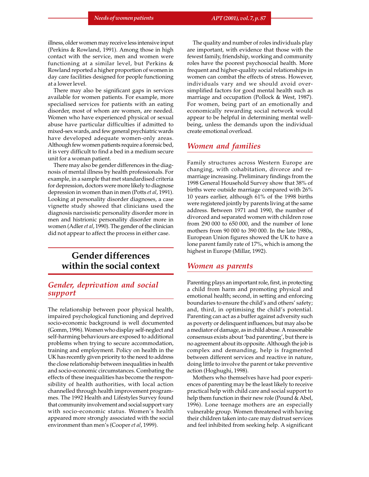illness, older women may receive less intensive input (Perkins & Rowland, 1991). Among those in high contact with the service, men and women were functioning at a similar level, but Perkins & Rowland reported a higher proportion of women in day care facilities designed for people functioning at a lower level.

There may also be significant gaps in services available for women patients. For example, more specialised services for patients with an eating disorder, most of whom are women, are needed. Women who have experienced physical or sexual abuse have particular difficulties if admitted to mixed-sex wards, and few general psychiatric wards have developed adequate women-only areas. Although few women patients require a forensic bed, it is very difficult to find a bed in a medium secure unit for a woman patient.

There may also be gender differences in the diagnosis of mental illness by health professionals. For example, in a sample that met standardised criteria for depression, doctors were more likely to diagnose depression in women than in men (Potts *et al*, 1991). Looking at personality disorder diagnoses, a case vignette study showed that clinicians used the diagnosis narcissistic personality disorder more in men and histrionic personality disorder more in women (Adler *et al*, 1990). The gender of the clinician did not appear to affect the process in either case.

# **Gender differences within the social context**

# *Gender, deprivation and social support*

The relationship between poor physical health, impaired psychological functioning and deprived socio-economic background is well documented (Gomm, 1996). Women who display self-neglect and self-harming behaviours are exposed to additional problems when trying to secure accommodation, training and employment. Policy on health in the UK has recently given priority to the need to address the close relationship between inequalities in health and socio-economic circumstances. Combating the effects of these inequalities has become the responsibility of health authorities, with local action channelled through health improvement programmes. The 1992 Health and Lifestyles Survey found that community involvement and social support vary with socio-economic status. Women's health appeared more strongly associated with the social environment than men's (Cooper *et al*, 1999).

The quality and number of roles individuals play are important, with evidence that those with the fewest family, friendship, working and community roles have the poorest psychosocial health. More frequent and higher-quality social relationships in women can combat the effects of stress. However, individuals vary and we should avoid oversimplified factors for good mental health such as marriage and occupation (Pollock & West, 1987). For women, being part of an emotionally and economically rewarding social network would appear to be helpful in determining mental wellbeing, unless the demands upon the individual create emotional overload.

# *Women and families*

Family structures across Western Europe are changing, with cohabitation, divorce and remarriage increasing. Preliminary findings from the 1998 General Household Survey show that 38% of births were outside marriage compared with 26% 10 years earlier, although 61% of the 1998 births were registered jointly by parents living at the same address. Between 1971 and 1990, the number of divorced and separated women with children rose from 290 000 to 650 000, and the number of lone mothers from 90 000 to 390 000. In the late 1980s, European Union figures showed the UK to have a lone parent family rate of 17%, which is among the highest in Europe (Millar, 1992).

### *Women as parents*

Parenting plays an important role, first, in protecting a child from harm and promoting physical and emotional health; second, in setting and enforcing boundaries to ensure the child's and others' safety; and, third, in optimising the child's potential. Parenting can act as a buffer against adversity such as poverty or delinquent influences, but may also be a mediator of damage, as in child abuse. A reasonable consensus exists about 'bad parenting', but there is no agreement about its opposite. Although the job is complex and demanding, help is fragmented between different services and reactive in nature, doing little to involve the parent or take preventive action (Hoghughi, 1998).

Mothers who themselves have had poor experiences of parenting may be the least likely to receive practical help with child care and social support to help them function in their new role (Pound & Abel, 1996). Lone teenage mothers are an especially vulnerable group. Women threatened with having their children taken into care may distrust services and feel inhibited from seeking help. A significant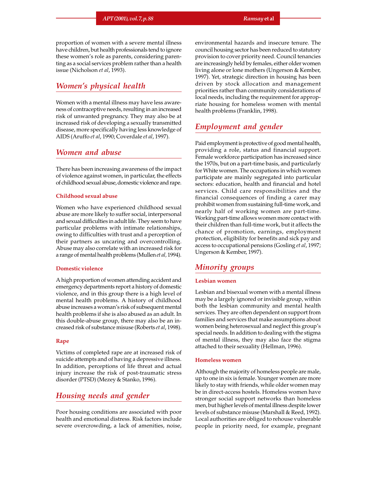proportion of women with a severe mental illness have children, but health professionals tend to ignore these women's role as parents, considering parenting as a social services problem rather than a health issue (Nicholson *et al*, 1993).

# *Women's physical health*

Women with a mental illness may have less awareness of contraceptive needs, resulting in an increased risk of unwanted pregnancy. They may also be at increased risk of developing a sexually transmitted disease, more specifically having less knowledge of AIDS (Aruffo *et al*, 1990; Coverdale *et al*, 1997).

# *Women and abuse*

There has been increasing awareness of the impact of violence against women, in particular, the effects of childhood sexual abuse, domestic violence and rape.

#### **Childhood sexual abuse**

Women who have experienced childhood sexual abuse are more likely to suffer social, interpersonal and sexual difficulties in adult life. They seem to have particular problems with intimate relationships, owing to difficulties with trust and a perception of their partners as uncaring and overcontrolling. Abuse may also correlate with an increased risk for a range of mental health problems (Mullen *et al,* 1994).

#### **Domestic violence**

A high proportion of women attending accident and emergency departments report a history of domestic violence, and in this group there is a high level of mental health problems. A history of childhood abuse increases a woman's risk of subsequent mental health problems if she is also abused as an adult. In this double-abuse group, there may also be an increased risk of substance misuse (Roberts *et al*, 1998).

#### **Rape**

Victims of completed rape are at increased risk of suicide attempts and of having a depressive illness. In addition, perceptions of life threat and actual injury increase the risk of post-traumatic stress disorder (PTSD) (Mezey & Stanko, 1996).

# *Housing needs and gender*

Poor housing conditions are associated with poor health and emotional distress. Risk factors include severe overcrowding, a lack of amenities, noise,

environmental hazards and insecure tenure. The council housing sector has been reduced to statutory provision to cover priority need. Council tenancies are increasingly held by females, either older women living alone or lone mothers (Ungerson & Kember, 1997). Yet, strategic direction in housing has been driven by stock allocation and management priorities rather than community considerations of local needs, including the requirement for appropriate housing for homeless women with mental health problems (Franklin, 1998).

# *Employment and gender*

Paid employment is protective of good mental health, providing a role, status and financial support. Female workforce participation has increased since the 1970s, but on a part-time basis, and particularly for White women. The occupations in which women participate are mainly segregated into particular sectors: education, health and financial and hotel services. Child care responsibilities and the financial consequences of finding a carer may prohibit women from sustaining full-time work, and nearly half of working women are part-time. Working part-time allows women more contact with their children than full-time work, but it affects the chance of promotion, earnings, employment protection, eligibility for benefits and sick pay and access to occupational pensions (Gosling *et al*, 1997; Ungerson & Kember, 1997).

# *Minority groups*

#### **Lesbian women**

Lesbian and bisexual women with a mental illness may be a largely ignored or invisible group, within both the lesbian community and mental health services. They are often dependent on support from families and services that make assumptions about women being heterosexual and neglect this group's special needs. In addition to dealing with the stigma of mental illness, they may also face the stigma attached to their sexuality (Hellman, 1996).

#### **Homeless women**

Although the majority of homeless people are male, up to one in six is female. Younger women are more likely to stay with friends, while older women may be in direct-access hostels. Homeless women have stronger social support networks than homeless men, but higher levels of mental illness despite lower levels of substance misuse (Marshall & Reed, 1992). Local authorities are obliged to rehouse vulnerable people in priority need, for example, pregnant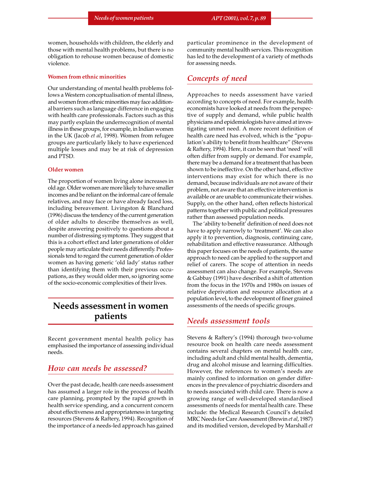women, households with children, the elderly and those with mental health problems, but there is no obligation to rehouse women because of domestic violence.

#### **Women from ethnic minorities**

Our understanding of mental health problems follows a Western conceptualisation of mental illness, and women from ethnic minorities may face additional barriers such as language difference in engaging with health care professionals. Factors such as this may partly explain the underrecognition of mental illness in these groups, for example, in Indian women in the UK (Jacob *et al*, 1998). Women from refugee groups are particularly likely to have experienced multiple losses and may be at risk of depression and PTSD.

#### **Older women**

The proportion of women living alone increases in old age. Older women are more likely to have smaller incomes and be reliant on the informal care of female relatives, and may face or have already faced loss, including bereavement. Livingston & Blanchard (1996) discuss the tendency of the current generation of older adults to describe themselves as well, despite answering positively to questions about a number of distressing symptoms. They suggest that this is a cohort effect and later generations of older people may articulate their needs differently. Professionals tend to regard the current generation of older women as having generic 'old lady' status rather than identifying them with their previous occupations, as they would older men, so ignoring some of the socio-economic complexities of their lives.

# **Needs assessment in women patients**

Recent government mental health policy has emphasised the importance of assessing individual needs.

# *How can needs be assessed?*

Over the past decade, health care needs assessment has assumed a larger role in the process of health care planning, prompted by the rapid growth in health service spending, and a concurrent concern about effectiveness and appropriateness in targeting resources (Stevens & Raftery, 1994). Recognition of the importance of a needs-led approach has gained

particular prominence in the development of community mental health services. This recognition has led to the development of a variety of methods for assessing needs.

#### *Concepts of need*

Approaches to needs assessment have varied according to concepts of need. For example, health economists have looked at needs from the perspective of supply and demand, while public health physicians and epidemiologists have aimed at investigating unmet need. A more recent definition of health care need has evolved, which is the "population's ability to benefit from healthcare" (Stevens & Raftery, 1994). Here, it can be seen that 'need' will often differ from supply or demand. For example, there may be a demand for a treatment that has been shown to be ineffective. On the other hand, effective interventions may exist for which there is no demand, because individuals are not aware of their problem, not aware that an effective intervention is available or are unable to communicate their wishes. Supply, on the other hand, often reflects historical patterns together with public and political pressures rather than assessed population needs.

The 'ability to benefit' definition of need does not have to apply narrowly to 'treatment'. We can also apply it to prevention, diagnosis, continuing care, rehabilitation and effective reassurance. Although this paper focuses on the needs of patients, the same approach to need can be applied to the support and relief of carers. The scope of attention in needs assessment can also change. For example, Stevens & Gabbay (1991) have described a shift of attention from the focus in the 1970s and 1980s on issues of relative deprivation and resource allocation at a population level, to the development of finer grained assessments of the needs of specific groups.

# *Needs assessment tools*

Stevens & Raftery's (1994) thorough two-volume resource book on health care needs assessment contains several chapters on mental health care, including adult and child mental health, dementia, drug and alcohol misuse and learning difficulties. However, the references to women's needs are mainly confined to information on gender differences in the prevalence of psychiatric disorders and to needs associated with child care. There is now a growing range of well-developed standardised assessments of needs for mental health care. These include: the Medical Research Council's detailed MRC Needs for Care Assessment (Brewin *et al*, 1987) and its modified version, developed by Marshall *et*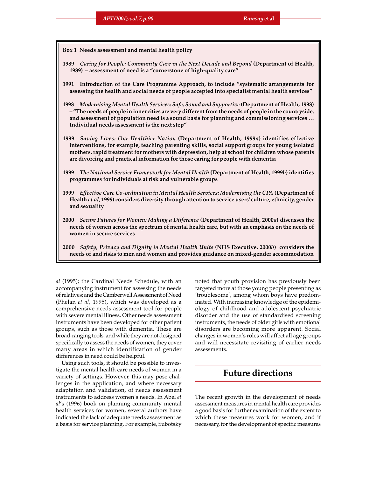#### *APT (2001), vol. 7, p. 90 Ramsay* **et al**

- **Box 1 Needs assessment and mental health policy**
- **1989** *Caring for People: Community Care in the Next Decade and Beyond* **(Department of Health, 1989) – assessment of need is a "cornerstone of high-quality care"**
- **1991 Introduction of the Care Programme Approach, to include "systematic arrangements for assessing the health and social needs of people accepted into specialist mental health services"**
- **1998** *Modernising Mental Health Services: Safe, Sound and Supportive* **(Department of Health, 1998) – "The needs of people in inner cities are very different from the needs of people in the countryside, and assessment of population need is a sound basis for planning and commissioning services … Individual needs assessment is the next step"**
- **1999** *Saving Lives: Our Healthier Nation* **(Department of Health, 1999***a***) identifies effective interventions, for example, teaching parenting skills, social support groups for young isolated mothers, rapid treatment for mothers with depression, help at school for children whose parents are divorcing and practical information for those caring for people with dementia**
- **1999** *The National Service Framework for Mental Health* **(Department of Health, 1999***b***) identifies programmes for individuals at risk and vulnerable groups**
- **1999** *Effective Care Co-ordination in Mental Health Services: Modernising the CPA* **(Department of Health** *et al***, 1999) considers diversity through attention to service users' culture, ethnicity, gender and sexuality**
- **2000** *Secure Futures for Women: Making a Difference* **(Department of Health, 2000***a***) discusses the needs of women across the spectrum of mental health care, but with an emphasis on the needs of women in secure services**
- **2000** *Safety, Privacy and Dignity in Mental Health Units* **(NHS Executive, 2000***b***) considers the needs of and risks to men and women and provides guidance on mixed-gender accommodation**

*al* (1995); the Cardinal Needs Schedule, with an accompanying instrument for assessing the needs of relatives; and the Camberwell Assessment of Need (Phelan *et al*, 1995), which was developed as a comprehensive needs assessment tool for people with severe mental illness. Other needs assessment instruments have been developed for other patient groups, such as those with dementia. These are broad-ranging tools, and while they are not designed specifically to assess the needs of women, they cover many areas in which identification of gender differences in need could be helpful.

Using such tools, it should be possible to investigate the mental health care needs of women in a variety of settings. However, this may pose challenges in the application, and where necessary adaptation and validation, of needs assessment instruments to address women's needs. In Abel *et al*'s (1996) book on planning community mental health services for women, several authors have indicated the lack of adequate needs assessment as a basis for service planning. For example, Subotsky noted that youth provision has previously been targeted more at those young people presenting as 'troublesome', among whom boys have predominated. With increasing knowledge of the epidemiology of childhood and adolescent psychiatric disorder and the use of standardised screening instruments, the needs of older girls with emotional disorders are becoming more apparent. Social changes in women's roles will affect all age groups and will necessitate revisiting of earlier needs assessments.

# **Future directions**

The recent growth in the development of needs assessment measures in mental health care provides a good basis for further examination of the extent to which these measures work for women, and if necessary, for the development of specific measures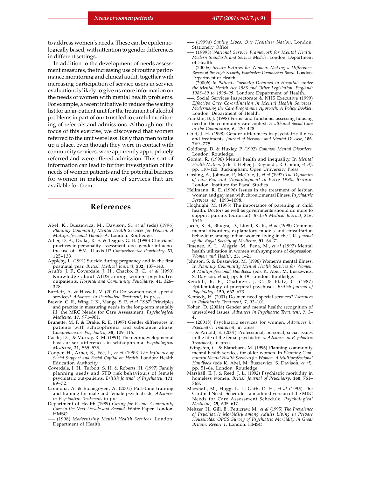to address women's needs. These can be epidemiologically based, with attention to gender differences in different settings.

In addition to the development of needs assessment measures, the increasing use of routine performance monitoring and clinical audit, together with increasing participation of service users in service evaluation, is likely to give us more information on the needs of women with mental health problems. For example, a recent initiative to reduce the waiting list for an in-patient unit for the treatment of alcohol problems in part of our trust led to careful monitoring of referrals and admissions. Although not the focus of this exercise, we discovered that women referred to the unit were less likely than men to take up a place, even though they were in contact with community services, were apparently appropriately referred and were offered admission. This sort of information can lead to further investigation of the needs of women patients and the potential barriers for women in making use of services that are available for them.

# **References**

- Abel, K., Buszewicz, M., Davison, S., *et al* (eds) (1996) *Planning Community Mental Health Services for Women. A Multiprofessional Handbook*. London: Routledge.
- Adler, D. A., Drake, R. E. & Teague, G. B. (1990) Clinicians' practices in personality assessment: does gender influence the use of DSM–III axis II? *Comprehensive Psychiatry*, **31**, 125–133.
- Appleby, L. (1991) Suicide during pregnancy and in the first postnatal year. *British Medical Journal*, **302**, 137–140.
- Aruffo, J. F., Coverdale, J. H., Chacko, R. C., *et al* (1990) Knowledge about AIDS among women psychiatric outpatients. *Hospital and Community Psychiatry*, **41**, 326– 328.
- Bartlett, A. & Hassell, V. (2001) Do women need special services? *Advances in Psychiatric Treatment,* in press.
- Brewin, C. R., Wing, J. K., Mange, S. P., *et al* (1987) Principles and practice in measuring needs in the long-term mentally ill: the MRC Needs for Care Assessment. *Psychological Medicine*, **17**, 971–981.
- Brunette, M. F. & Drake, R. E. (1997) Gender differences in patients with schizophrenia and substance abuse. *Comprehensive Psychiatry*, **38**, 109–116.
- Castle, D. J & Murray, R. M. (1991) The neurodevelopmental basis of sex differences in schizophrenia. *Psychological Medicine*, **21**, 565–575.
- Cooper, H., Arber, S., Fee, I., *et al* (1999*) The Influence of Social Support and Social Capital on Health*. London: Health Education Authority.
- Coverdale, J. H., Turbott, S. H. & Roberts, H. (1997) Family planning needs and STD risk behaviours of female psychiatric out-patients. *British Journal of Psychiatry*, **171**, 69–72.
- Cremona, A. & Etchegoyen, A. (2001) Part-time training and training for male and female psychiatrists. *Advances in Psychiatric Treatment,* in press.
- Department of Health (1989) *Caring for People: Community Care in the Next Decade and Beyond*. White Paper. London: HMSO.
- ––– (1998) *Modernising Mental Health Services*. London: Department of Health.
- ––– (1999*a*) *Saving Lives: Our Healthier Nation*. London: Stationery Office.
- ––– (1999*b*) *National Service Framework for Mental Health: Modern Standards and Service Models*. London: Department of Health.
- ––– (2000*a*) *Secure Futures for Women: Making a Difference. Report of the High Security Psychiatric Commission Board.* London: Department of Health.
- ––– (2000*b*) *In-Patients Formally Detained in Hospitals under the Mental Health Act 1983 and Other Legislation, England: 1988–89 to 1998–99*. London: Department of Health.
- Social Services Inspectorate  $\&$  NHS Executive (1999) *Effective Care Co-ordination in Mental Health Services. Modernising the Care Programme Approach: A Policy Booklet*. London: Department of Health.
- Franklin, B. J. (1998) Forms and functions: assessing housing need in the community care context. *Health and Social Care in the Community*, **6**, 420–428.
- Gold, J. H. (1998) Gender differences in psychiatric illness and treatments. *Journal of Nervous and Mental Disease*, **186**, 769–775.
- Goldberg, D. & Huxley, P. (1992) *Common Mental Disorders*. London: Routledge.
- Gomm, R. (1996) Mental health and inequality. In *Mental Health Matters* (eds T. Heller, J. Reynolds, R. Gomm, *et al*), pp. 110–120. Buckingham: Open University Press.
- Gosling, A., Johnson, P., McCrae, J., *et al* (1997) *The Dynamics of Low Pay and Unemployment in Early 1990s Britain.* London: Institute for Fiscal Studies.
- Hellmann, R. E. (1996) Issues in the treatment of lesbian women and gay men with chronic mental illness. *Psychiatric Services*, **47**, 1093–1098.
- Hoghughi, M. (1998) The importance of parenting in child health. Doctors as well as governments should do more to support parents (editorial). *British Medical Journal*, **316**, 1545.
- Jacob, K. S., Bhugra, D., Lloyd, K. R., *et al* (1998) Common mental disorders, explanatory models and consultation behaviour among Indian women living in the UK. *Journal of the Royal Society of Medicine*, **91**, 66–71.
- Jimenez, A. L., Alegria, M., Pena, M., *et al* (1997) Mental health utilization in women with symptoms of depression. *Women and Health*, **25**, 1–21.
- Johnson, S. & Buszewicz, M. (1996) Women's mental illness. In *Planning Community Mental Health Services for Women. A Multiprofessional Handbook* (eds K. Abel, M. Buszewicz, S. Davison, *et al*), pp. 6–19. London: Routledge.
- Kendell, R. E., Chalmers, J. C. & Platz, C. (1987) Epidemiology of puerperal psychoses. *British Journal of Psychiatry*, **150**, 662–673.
- Kennedy, H. (2001) Do men need special services? *Advances in Psychiatric Treatment*, **7**, 93–101.
- Kohen, D. (2001*a*) Gender and mental health: recognition of unresolved issues. *Advances in Psychiatric Treatment*, **7**, 3– 4.
- ––– (2001*b*) Psychiatric services for women. *Advances in Psychiatric Treatment,* in press.
- ––– & Arnold, E. (2001) Professional, personal, social issues in the life of the femal psychiatrists. *Advances in Psychiatric Treatment,* in press.
- Livingston, G. & Blanchard, M. (1996) Planning community mental health services for older women. In *Planning Community Mental Health Services for Women. A Multiprofessional Handbook* (eds K. Abel, M. Buszewicz, S. Davison, *et al*), pp. 51–64. London: Routledge.
- Marshall, E. J. & Reed, J. L. (1992) Psychiatric morbidity in homeless women*. British Journal of Psychiatry*, **160**, 761– 768.
- Marshall, M., Hogg, L. I., Gath, D. H., *et al* (1995) The Cardinal Needs Schedule – a modified version of the MRC Needs for Care Assessment Schedule. *Psychological Medicine*, **25**, 605–617.
- Meltzer, H., Gill, B., Petticrew, M., *et al* (1995) *The Prevalence of Psychiatric Morbidity among Adults Living in Private Households. OPCS Survey of Psychiatric Morbidity in Great Britain, Report 1*. London: HMSO.